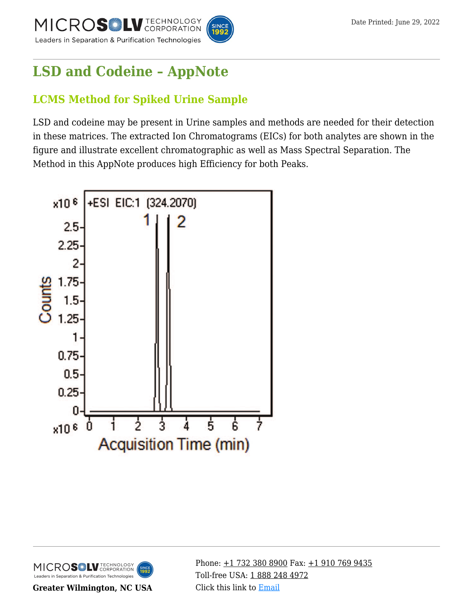



# **[LSD and Codeine – AppNote](https://kb.mtc-usa.com/article/aa-02541/46/)**

# **LCMS Method for Spiked Urine Sample**

LSD and codeine may be present in Urine samples and methods are needed for their detection in these matrices. The extracted Ion Chromatograms (EICs) for both analytes are shown in the figure and illustrate excellent chromatographic as well as Mass Spectral Separation. The Method in this AppNote produces high Efficiency for both Peaks.





**Greater Wilmington, NC USA**

Phone:  $\pm$ 1 732 380 8900 Fax:  $\pm$ 1 910 769 9435 Toll-free USA: [1 888 248 4972](#page--1-0) Click this link to [Email](https://www.mtc-usa.com/contact)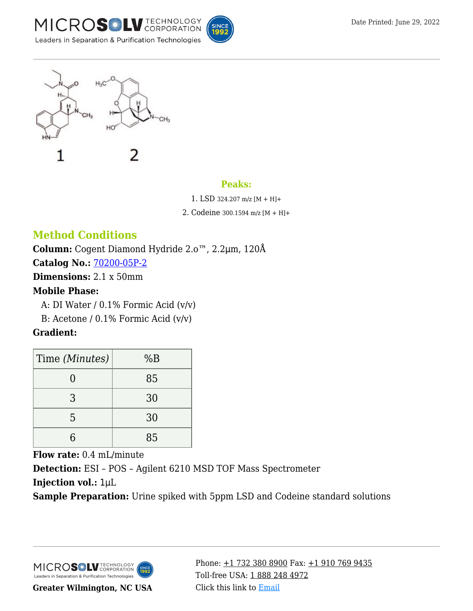





#### **Peaks:**

1. LSD 324.207 m/z [M + H]+

2. Codeine 300.1594 m/z [M + H]+

## **Method Conditions**

**Column:** Cogent Diamond Hydride 2.o™, 2.2μm, 120Å

**Catalog No.:** [70200-05P-2](https://www.mtc-usa.com/product-details/id/4115855)

**Dimensions:** 2.1 x 50mm

#### **Mobile Phase:**

A: DI Water /  $0.1\%$  Formic Acid (v/v)

B: Acetone /  $0.1\%$  Formic Acid (v/v)

### **Gradient:**

| Time (Minutes) | %B |
|----------------|----|
|                | 85 |
| 3              | 30 |
| 5              | 30 |
|                | 85 |

**Flow rate:** 0.4 mL/minute **Detection:** ESI – POS – Agilent 6210 MSD TOF Mass Spectrometer **Injection vol.:** 1μL

**Sample Preparation:** Urine spiked with 5ppm LSD and Codeine standard solutions